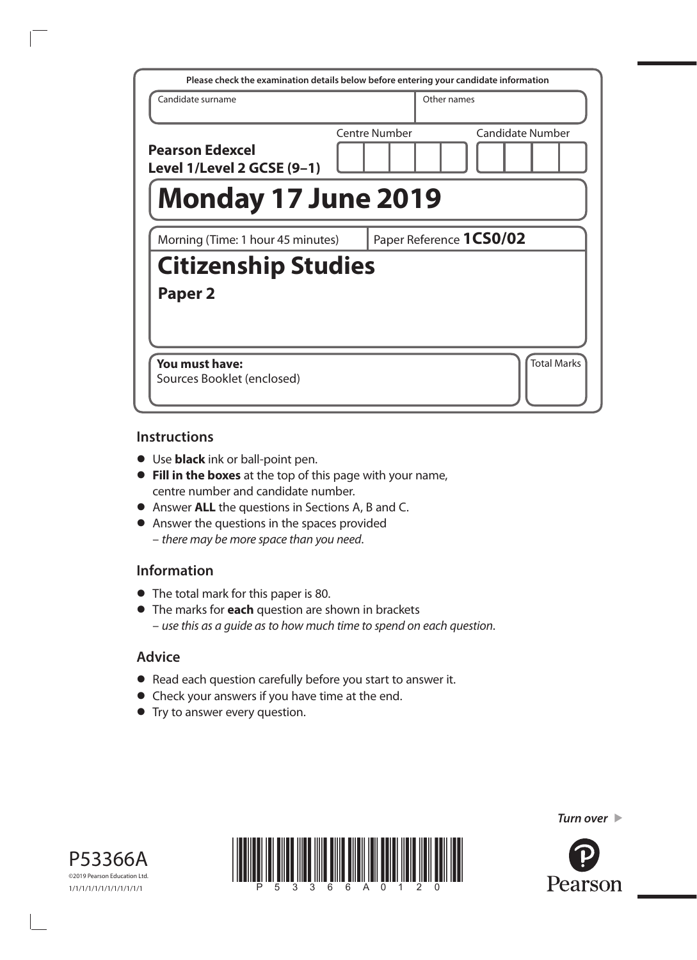| Please check the examination details below before entering your candidate information |                         |                    |
|---------------------------------------------------------------------------------------|-------------------------|--------------------|
| Candidate surname                                                                     | Other names             |                    |
| <b>Pearson Edexcel</b><br>Level 1/Level 2 GCSE (9-1)                                  | Centre Number           | Candidate Number   |
| <b>Monday 17 June 2019</b>                                                            |                         |                    |
| Morning (Time: 1 hour 45 minutes)                                                     | Paper Reference 1CS0/02 |                    |
| <b>Citizenship Studies</b><br>Paper <sub>2</sub>                                      |                         |                    |
| You must have:<br>Sources Booklet (enclosed)                                          |                         | <b>Total Marks</b> |

### **Instructions**

- **•** Use **black** ink or ball-point pen.
- **• Fill in the boxes** at the top of this page with your name, centre number and candidate number.
- **•** Answer **ALL** the questions in Sections A, B and C.
- **•** Answer the questions in the spaces provided – *there may be more space than you need*.

# **Information**

- **•** The total mark for this paper is 80.
- **•** The marks for **each** question are shown in brackets – *use this as a guide as to how much time to spend on each question*.

# **Advice**

- **•** Read each question carefully before you start to answer it.
- **•** Check your answers if you have time at the end.
- **•** Try to answer every question.





*Turn over* 

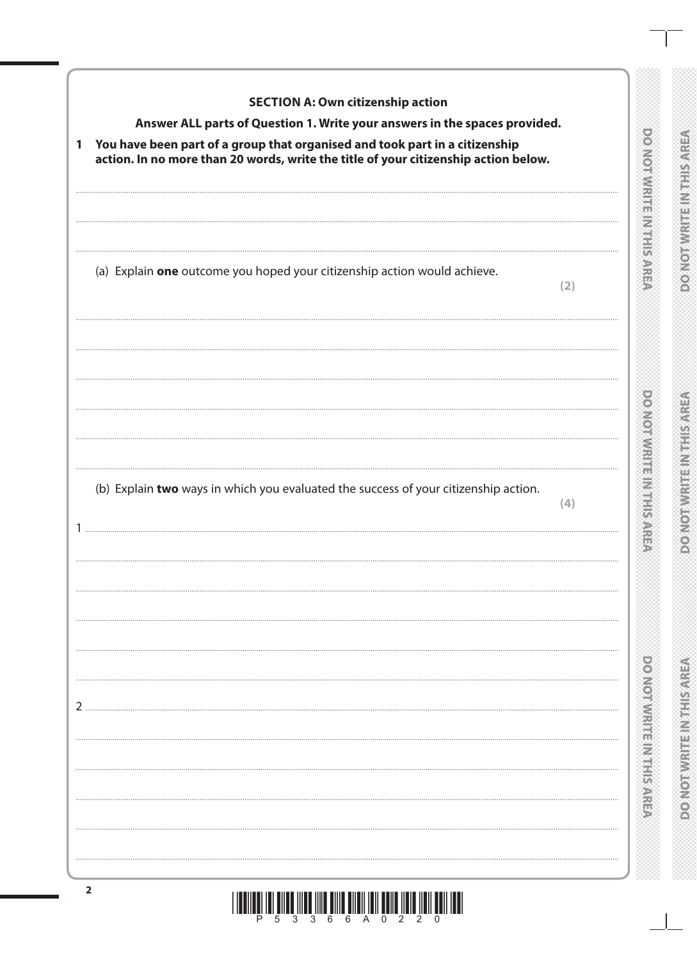| Answer ALL parts of Question 1. Write your answers in the spaces provided.<br>You have been part of a group that organised and took part in a citizenship<br>action. In no more than 20 words, write the title of your citizenship action below. |     | <b>Monday Reserved</b>                   |
|--------------------------------------------------------------------------------------------------------------------------------------------------------------------------------------------------------------------------------------------------|-----|------------------------------------------|
| (a) Explain one outcome you hoped your citizenship action would achieve.                                                                                                                                                                         | (2) |                                          |
| (b) Explain two ways in which you evaluated the success of your citizenship action.                                                                                                                                                              | (4) | <b>PONTON NEWS</b><br>Ũ.<br>Ñ            |
|                                                                                                                                                                                                                                                  |     | <b>POSITORY IN EXECUTIVE AND EXECUTE</b> |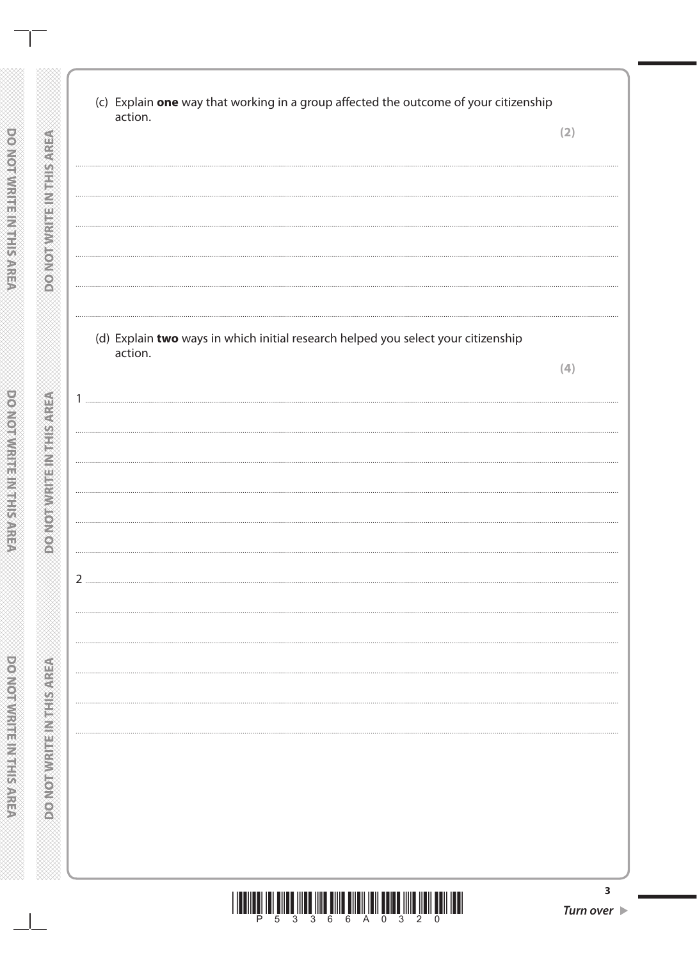|                | (c) Explain one way that working in a group affected the outcome of your citizenship<br>action. |     |
|----------------|-------------------------------------------------------------------------------------------------|-----|
|                |                                                                                                 | (2) |
|                |                                                                                                 |     |
|                |                                                                                                 |     |
|                |                                                                                                 |     |
|                |                                                                                                 |     |
|                | (d) Explain two ways in which initial research helped you select your citizenship<br>action.    |     |
|                |                                                                                                 | (4) |
| 1              |                                                                                                 |     |
|                |                                                                                                 |     |
|                |                                                                                                 |     |
|                |                                                                                                 |     |
| $\overline{2}$ |                                                                                                 |     |
|                |                                                                                                 |     |
|                |                                                                                                 |     |
|                |                                                                                                 |     |
|                |                                                                                                 |     |
|                |                                                                                                 |     |
|                |                                                                                                 |     |
|                |                                                                                                 |     |
|                |                                                                                                 |     |

DOMOTWING INSTITUTE

 $\mathbf{I}$ 

DO NOTWRITE INTHISAREA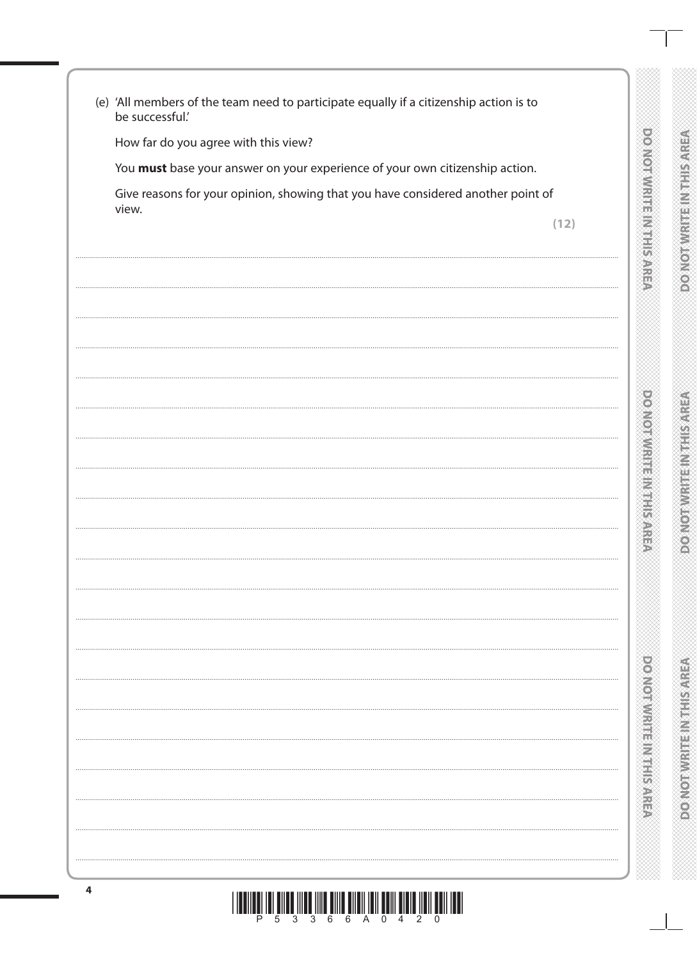| (e) 'All members of the team need to participate equally if a citizenship action is to<br>be successful. |
|----------------------------------------------------------------------------------------------------------|
| How far do you agree with this view?                                                                     |
| You <b>must</b> base your answer on your experience of your own citizenship action.                      |
|                                                                                                          |

Give reasons for your opinion, showing that you have considered another point of view.

 $(12)$ 

DONOTWRITEIN HISAREA

**DOMOROVIES IN STREET** 

**ARRY SITEMATION CONSOLIDATION** 

DO NOT WRITE IN THIS AREA

**DOMOTIVISTIS MEETINGS** 

 $\parallel$ **TIIII U** HIII **TIITII III**  $6\quad 6\quad A\quad 0\quad 4\quad 2\quad 0$  $\overline{3}$ .  $\overline{3}$  $\overline{5}$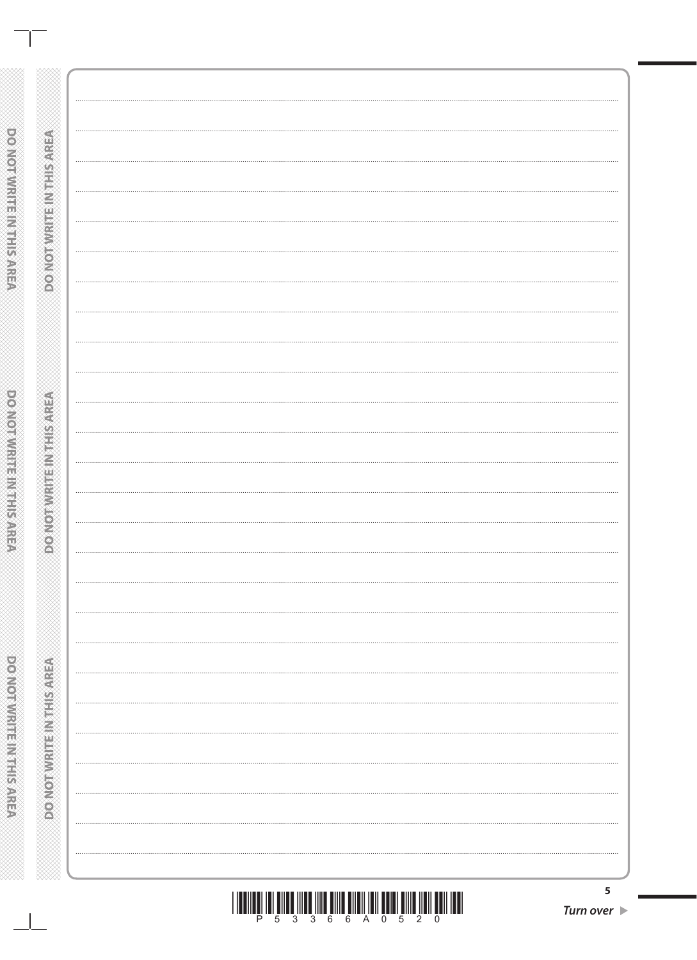$\mathbb{R}$ 

 $\perp$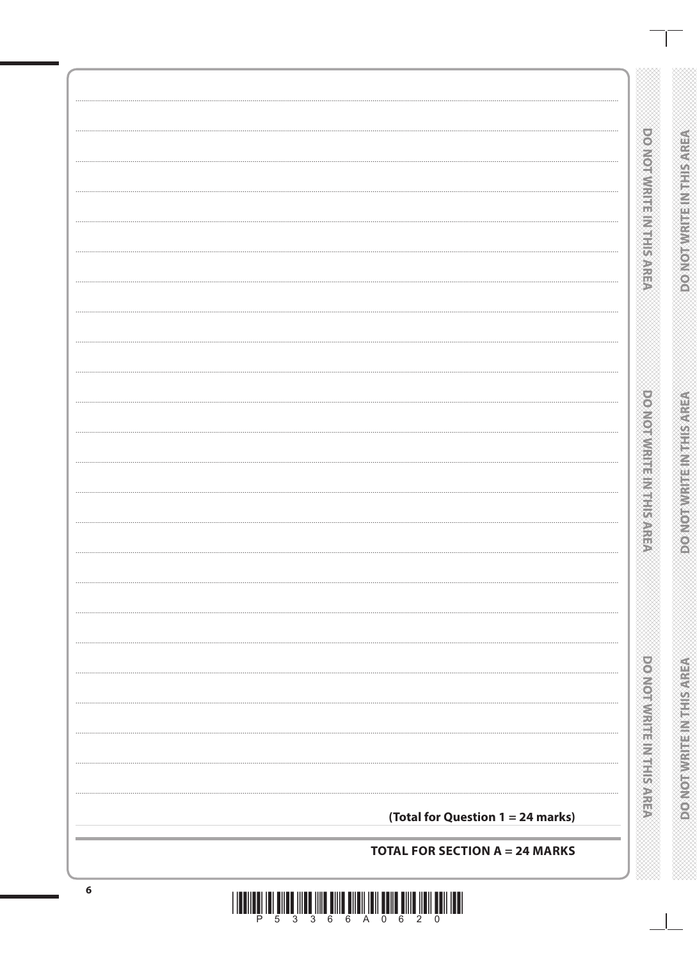| Š                        | Š                    |
|--------------------------|----------------------|
| i                        |                      |
| ֠                        |                      |
|                          | <b>CONTRACTOR</b>    |
| $\overline{\phantom{a}}$ |                      |
| $\overline{\phantom{a}}$ |                      |
| ֚֓                       |                      |
|                          |                      |
|                          |                      |
|                          |                      |
|                          |                      |
| $\overline{\phantom{a}}$ |                      |
|                          |                      |
|                          |                      |
|                          |                      |
|                          |                      |
|                          |                      |
|                          |                      |
|                          |                      |
|                          |                      |
|                          |                      |
|                          |                      |
|                          |                      |
|                          |                      |
|                          |                      |
|                          |                      |
|                          |                      |
|                          |                      |
|                          |                      |
|                          |                      |
|                          | ń                    |
|                          |                      |
|                          |                      |
|                          |                      |
|                          |                      |
|                          |                      |
|                          |                      |
|                          |                      |
|                          |                      |
|                          |                      |
|                          | ë                    |
|                          |                      |
|                          | ł                    |
|                          | ś                    |
|                          |                      |
|                          |                      |
|                          |                      |
|                          |                      |
|                          |                      |
|                          |                      |
|                          |                      |
|                          |                      |
|                          |                      |
|                          |                      |
|                          |                      |
|                          |                      |
|                          |                      |
|                          |                      |
|                          |                      |
|                          |                      |
|                          |                      |
|                          |                      |
|                          |                      |
|                          |                      |
|                          |                      |
|                          |                      |
|                          |                      |
|                          |                      |
|                          |                      |
|                          |                      |
|                          |                      |
|                          |                      |
|                          | ì                    |
|                          |                      |
|                          |                      |
|                          |                      |
|                          |                      |
|                          |                      |
|                          |                      |
|                          |                      |
|                          |                      |
| $\overline{\phantom{a}}$ |                      |
|                          |                      |
| $\overline{\phantom{a}}$ |                      |
| $\overline{\phantom{a}}$ | XXXXXXX              |
| $\overline{\phantom{a}}$ |                      |
|                          | www.www.www.www.www. |
|                          |                      |
|                          |                      |
|                          |                      |
|                          |                      |
|                          |                      |
|                          |                      |
|                          |                      |
|                          |                      |
|                          |                      |
|                          |                      |
|                          |                      |
|                          |                      |
|                          |                      |
|                          |                      |
|                          |                      |
|                          |                      |
|                          |                      |
|                          |                      |
|                          |                      |
|                          | $\times$             |
|                          | Î<br>v               |
| $\overline{\phantom{a}}$ | ×<br>i,<br>i         |

**DOMOTIVIER INTERNATIONAL** DONOTWRITEINTHISAREA ponorwramatichter (Total for Question 1 = 24 marks) **TOTAL FOR SECTION A = 24 MARKS**  $6\phantom{1}6$ Ш

<u>i Îmri îmr Îmr Îmrii îm înn Êmr Îmr Îmr Î</u>

ΪP  $\overline{5}$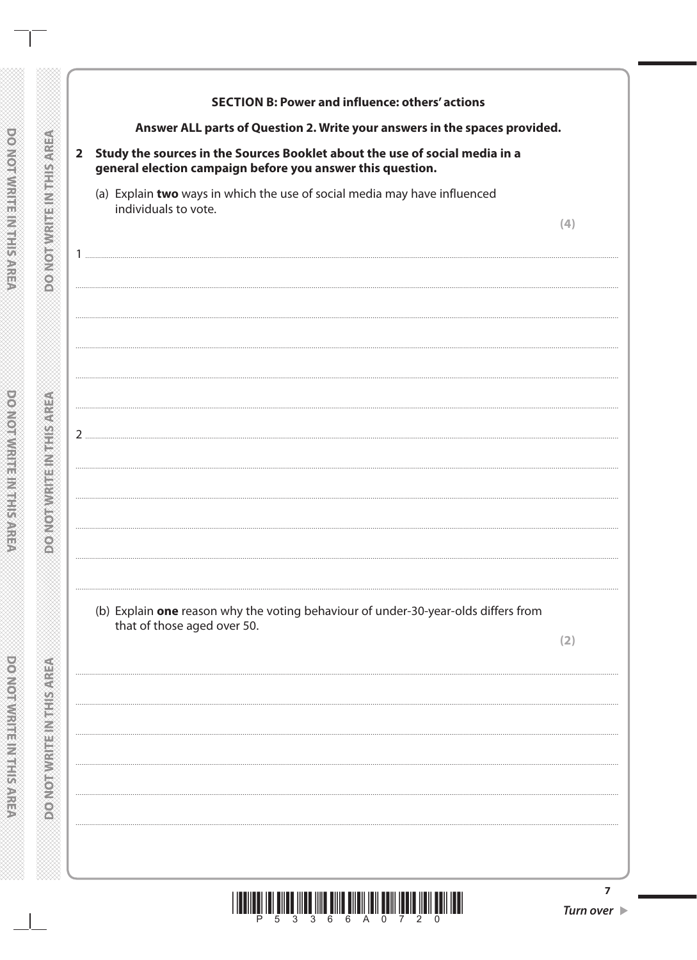|                | Answer ALL parts of Question 2. Write your answers in the spaces provided.                                                                |     |
|----------------|-------------------------------------------------------------------------------------------------------------------------------------------|-----|
| $\overline{2}$ | Study the sources in the Sources Booklet about the use of social media in a<br>general election campaign before you answer this question. |     |
|                | (a) Explain two ways in which the use of social media may have influenced<br>individuals to vote.                                         |     |
|                |                                                                                                                                           | (4) |
|                |                                                                                                                                           |     |
|                |                                                                                                                                           |     |
|                |                                                                                                                                           |     |
|                |                                                                                                                                           |     |
|                |                                                                                                                                           |     |
|                | (b) Explain one reason why the voting behaviour of under-30-year-olds differs from                                                        |     |
|                | that of those aged over 50.                                                                                                               | (2) |
|                |                                                                                                                                           |     |
|                |                                                                                                                                           |     |
|                |                                                                                                                                           |     |
|                |                                                                                                                                           |     |

 $\blacksquare$ 

DO NOTWRITE INTHISAREA

**DONOTWRITEIN IN SAFE** 

**DO NOTWRITEINIS RISPREA**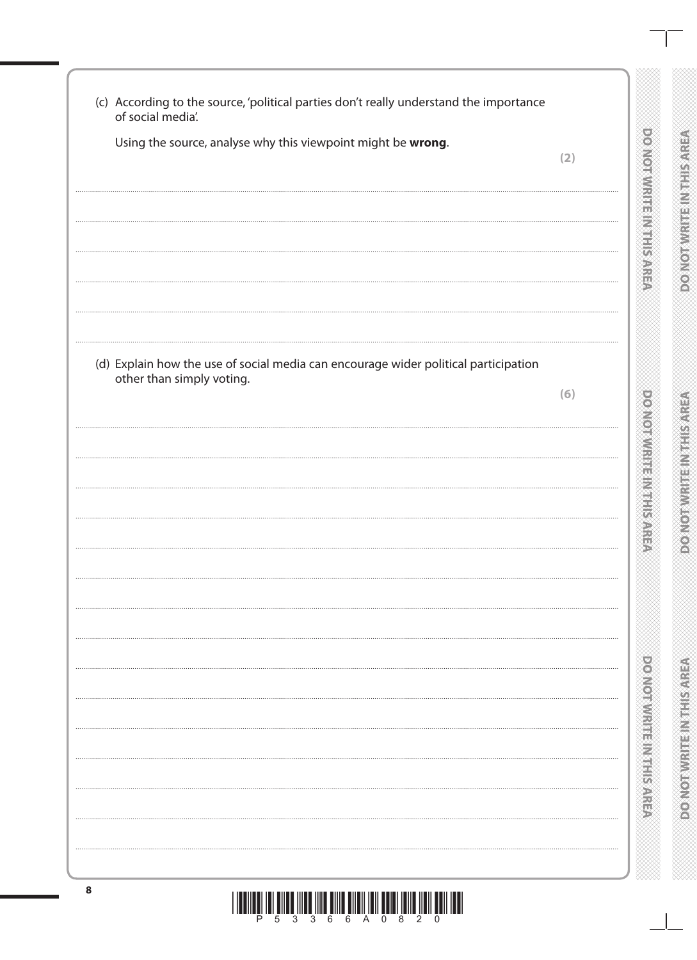| (c) According to the source, 'political parties don't really understand the importance<br>of social media'.      |     |                                   |                   |
|------------------------------------------------------------------------------------------------------------------|-----|-----------------------------------|-------------------|
| Using the source, analyse why this viewpoint might be wrong.                                                     | (2) | $\frac{1}{2}$<br>is<br>O          | <b>DONOTHING</b>  |
| (d) Explain how the use of social media can encourage wider political participation<br>other than simply voting. |     |                                   |                   |
|                                                                                                                  | (6) |                                   |                   |
|                                                                                                                  |     | <b>Monday Reserves</b>            |                   |
|                                                                                                                  |     | i.<br>K                           |                   |
|                                                                                                                  |     |                                   |                   |
|                                                                                                                  |     |                                   |                   |
|                                                                                                                  |     | <b>Signal Property of Section</b> |                   |
|                                                                                                                  |     | i<br>Su                           | <b>DOMORATION</b> |
|                                                                                                                  |     |                                   |                   |
| 8<br><u> I TERMERI TELEVISE MISE MISE BINE BILBII TEN BELEL ISME MEN BEN TERL</u>                                |     |                                   |                   |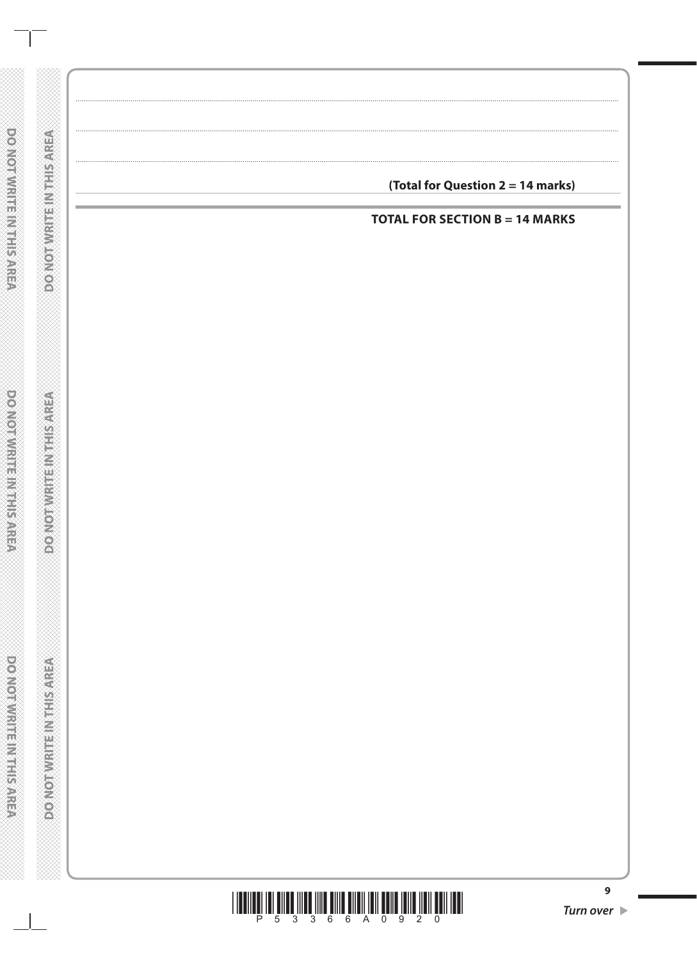| (Total for Question 2 = 14 marks)     |                                                                                                              |
|---------------------------------------|--------------------------------------------------------------------------------------------------------------|
| <b>TOTAL FOR SECTION B = 14 MARKS</b> | <b>DOINOIRWRITHMHOMGO</b><br><b>CANOTAWREE NOTES ONES</b><br>Q<br><b>RESIVERING ENGINEERING CONSCRIPTION</b> |
| Tur                                   |                                                                                                              |

 $\overline{9}$ 

. . . . . . . . . . . . . . . . . . . .

. . . . . . . . . . . . . . . . . .

. . . . . .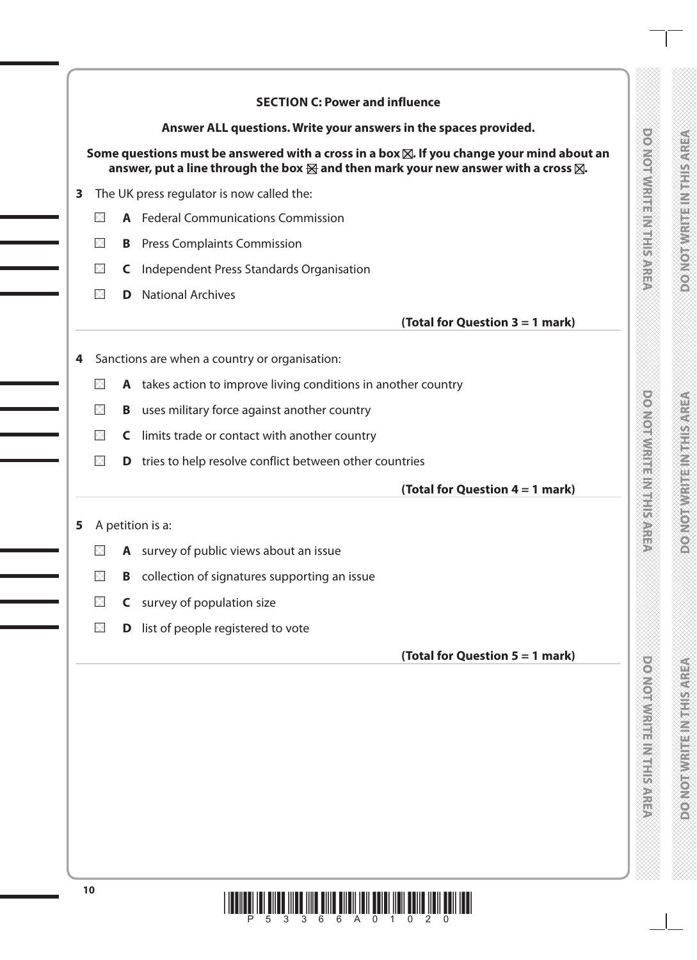|  |   | ţ |
|--|---|---|
|  |   |   |
|  | L |   |
|  |   |   |
|  |   |   |
|  |   |   |
|  |   |   |
|  |   |   |
|  | ş |   |
|  |   |   |
|  |   |   |
|  |   |   |
|  |   |   |
|  |   |   |
|  |   |   |
|  |   |   |
|  |   |   |
|  |   |   |
|  |   |   |
|  |   |   |
|  |   |   |
|  |   |   |
|  |   | ē |
|  |   |   |
|  |   |   |
|  |   |   |
|  |   |   |
|  |   |   |
|  |   |   |
|  |   |   |
|  |   |   |
|  |   |   |
|  |   |   |
|  |   |   |
|  |   |   |
|  |   |   |
|  |   |   |
|  |   |   |
|  |   |   |
|  |   |   |
|  |   |   |
|  |   |   |
|  |   |   |
|  |   |   |
|  |   |   |
|  |   |   |
|  |   |   |
|  |   |   |
|  |   |   |
|  |   |   |
|  |   |   |
|  |   | ĭ |
|  |   |   |
|  |   |   |
|  |   |   |

**DOMOROMALIST HE PROTECT** 

**PONDERN PRESSURE** 

**DO NOTIVE MEETINGS IS A STREET** 

### **SECTION C: Power and influence**

**Answer ALL questions. Write your answers in the spaces provided.**

Some questions must be answered with a cross in a box  $\boxtimes$ . If you change your mind about an answer, put a line through the box  $\boxtimes$  and then mark your new answer with a cross  $\boxtimes$ .

- **3** The UK press regulator is now called the:
	- $\boxtimes$ **A** Federal Communications Commission
	- $\mathbb{R}$ **B** Press Complaints Commission
	- $\times$ **C** Independent Press Standards Organisation
	- $\times$ **D** National Archives

#### **(Total for Question 3 = 1 mark)**

- **4** Sanctions are when a country or organisation:
	- $\boxtimes$ **A** takes action to improve living conditions in another country
	- $\times$ **B** uses military force against another country
	- $\boxtimes$ **C** limits trade or contact with another country
	- $\boxtimes$ **D** tries to help resolve conflict between other countries

### **(Total for Question 4 = 1 mark)**

#### **5** A petition is a:

- $\boxtimes$ **A** survey of public views about an issue
- $\boxtimes$ **B** collection of signatures supporting an issue
- $\boxtimes$ **C** survey of population size
- $\boxtimes$ **D** list of people registered to vote

#### **(Total for Question 5 = 1 mark)**

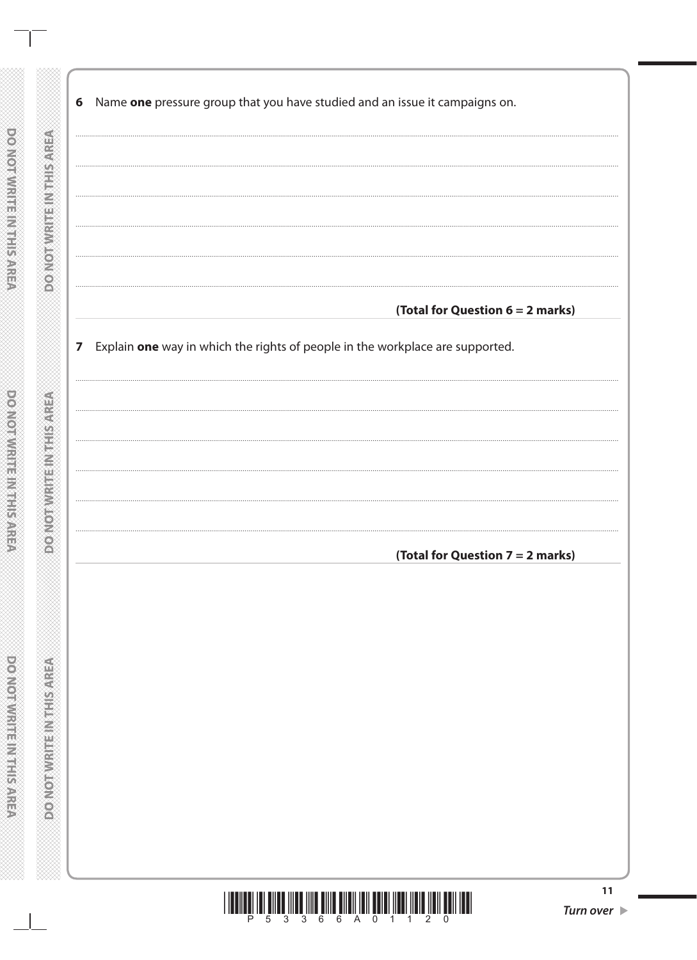|                              | Name one pressure group that you have studied and an issue it campaigns on.<br>6                |                  |
|------------------------------|-------------------------------------------------------------------------------------------------|------------------|
| <b>CERNICAL PRODUCTIONS</b>  |                                                                                                 |                  |
|                              |                                                                                                 |                  |
|                              |                                                                                                 |                  |
|                              |                                                                                                 |                  |
|                              | (Total for Question 6 = 2 marks)                                                                |                  |
|                              | Explain one way in which the rights of people in the workplace are supported.<br>$\overline{ }$ |                  |
|                              |                                                                                                 |                  |
|                              |                                                                                                 |                  |
|                              |                                                                                                 |                  |
| <b>REPARENT PRODUCT</b>      |                                                                                                 |                  |
|                              | (Total for Question 7 = 2 marks)                                                                |                  |
|                              |                                                                                                 |                  |
|                              |                                                                                                 |                  |
|                              |                                                                                                 |                  |
| <b>DONOTWRITE INTHISAREA</b> |                                                                                                 |                  |
|                              |                                                                                                 |                  |
|                              |                                                                                                 |                  |
|                              |                                                                                                 |                  |
|                              |                                                                                                 |                  |
|                              |                                                                                                 | 11               |
|                              |                                                                                                 | <b>Turn over</b> |

**DOMOTWRITEINTHIS AREA** 

DO NOTWRITE INTHISAREA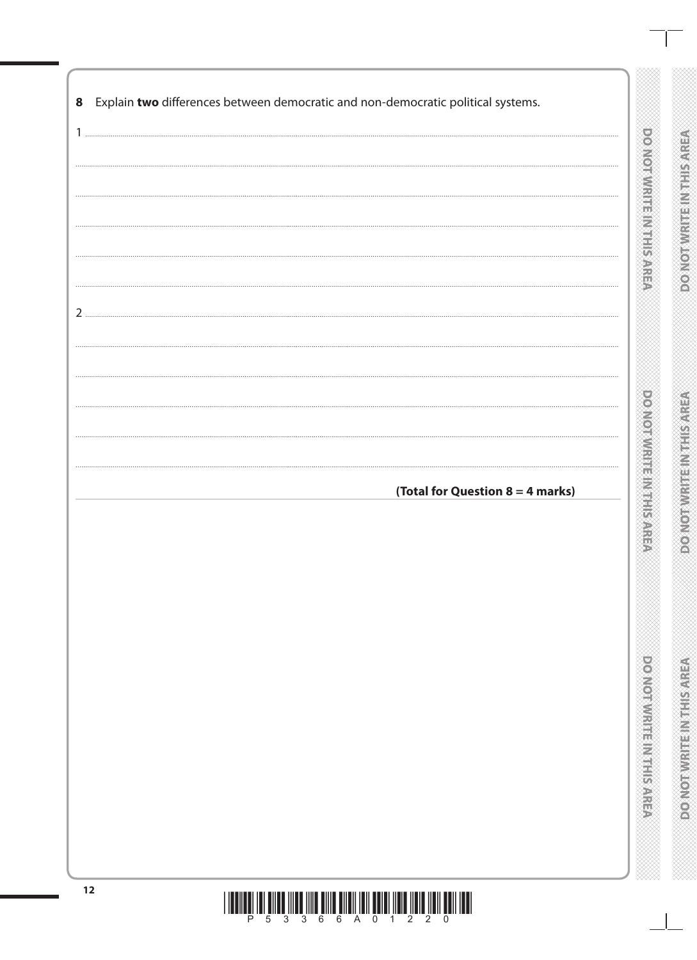| 1<br>2 |                                  | <b>DONOIRMENT ENTIRES</b>        |
|--------|----------------------------------|----------------------------------|
|        | (Total for Question 8 = 4 marks) | <b>PORT ORDER IN STREET</b>      |
|        |                                  | <b>DOMOIDING HE WAS ARRESTED</b> |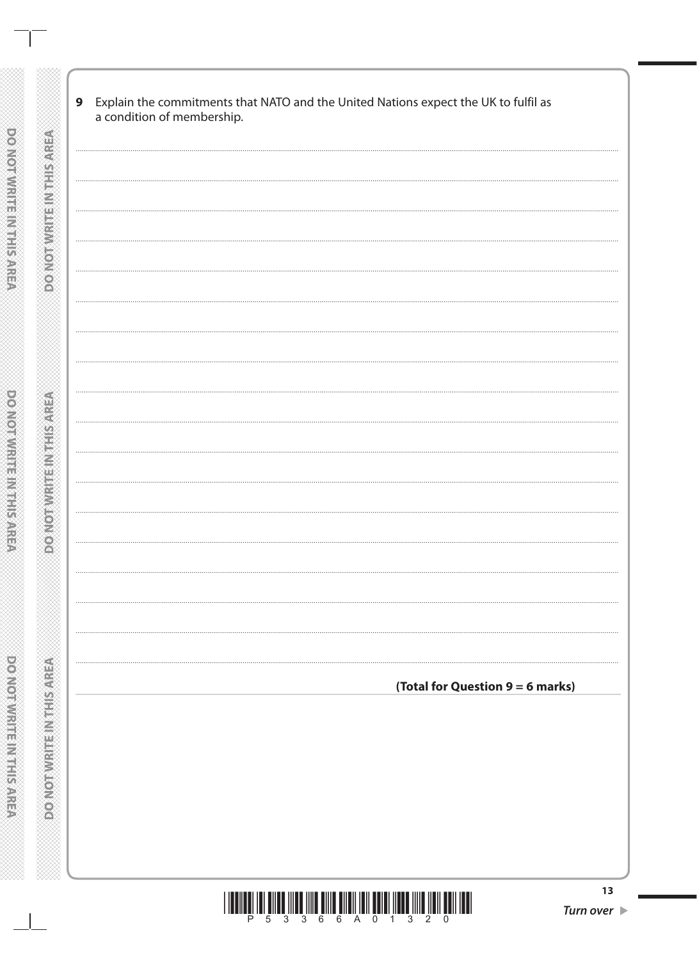| $\boldsymbol{9}$<br>a condition of membership. | Explain the commitments that NATO and the United Nations expect the UK to fulfil as |
|------------------------------------------------|-------------------------------------------------------------------------------------|
|                                                |                                                                                     |
|                                                |                                                                                     |
|                                                |                                                                                     |
|                                                |                                                                                     |
|                                                |                                                                                     |
|                                                |                                                                                     |
|                                                |                                                                                     |
|                                                |                                                                                     |
|                                                |                                                                                     |
|                                                |                                                                                     |
|                                                |                                                                                     |
|                                                |                                                                                     |
|                                                |                                                                                     |
|                                                |                                                                                     |
|                                                |                                                                                     |
|                                                |                                                                                     |
|                                                |                                                                                     |
|                                                |                                                                                     |
|                                                |                                                                                     |
|                                                |                                                                                     |
|                                                |                                                                                     |
|                                                |                                                                                     |
|                                                |                                                                                     |
|                                                |                                                                                     |
|                                                | (Total for Question 9 = 6 marks)                                                    |
|                                                |                                                                                     |
|                                                |                                                                                     |
|                                                |                                                                                     |
|                                                |                                                                                     |
|                                                |                                                                                     |
|                                                |                                                                                     |



**DONOTWRITEINTHISAREA** 

a ka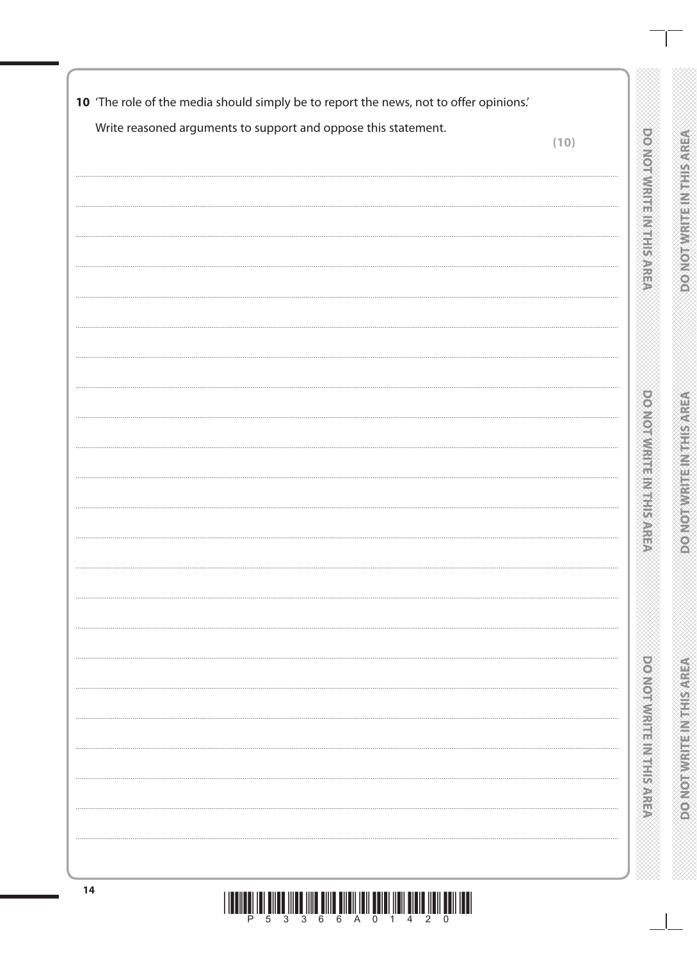10 'The role of the media should simply be to report the news, not to offer opinions.' Write reasoned arouments to support and oppose this statement.

| mile reasoned arguments to support and oppose this statement. | (10)                          |
|---------------------------------------------------------------|-------------------------------|
|                                                               | <b>POWOJNKALL MEETINGS</b>    |
|                                                               |                               |
|                                                               |                               |
|                                                               |                               |
|                                                               |                               |
|                                                               |                               |
|                                                               |                               |
|                                                               |                               |
|                                                               |                               |
|                                                               |                               |
|                                                               |                               |
|                                                               | <b>DOMOSTIC INTERNATION</b>   |
|                                                               |                               |
|                                                               |                               |
|                                                               |                               |
|                                                               |                               |
|                                                               |                               |
|                                                               |                               |
|                                                               |                               |
|                                                               |                               |
|                                                               |                               |
|                                                               |                               |
|                                                               |                               |
|                                                               |                               |
|                                                               |                               |
|                                                               |                               |
|                                                               | .                             |
|                                                               | <b>MOTOWRITE IN THIS AREA</b> |
|                                                               |                               |
|                                                               | .                             |
|                                                               |                               |
|                                                               |                               |

<u>III ÊNETÎNETÎNE ÊNETÊNETÎN BERLÎNE ÎNETÊNE ÊN IFER</u>

P.

**DONOTWRITEINITISAREA** 

**DOMORWATE INSTEAD:** 

**DOMOTIVISTEINTHIS AREA**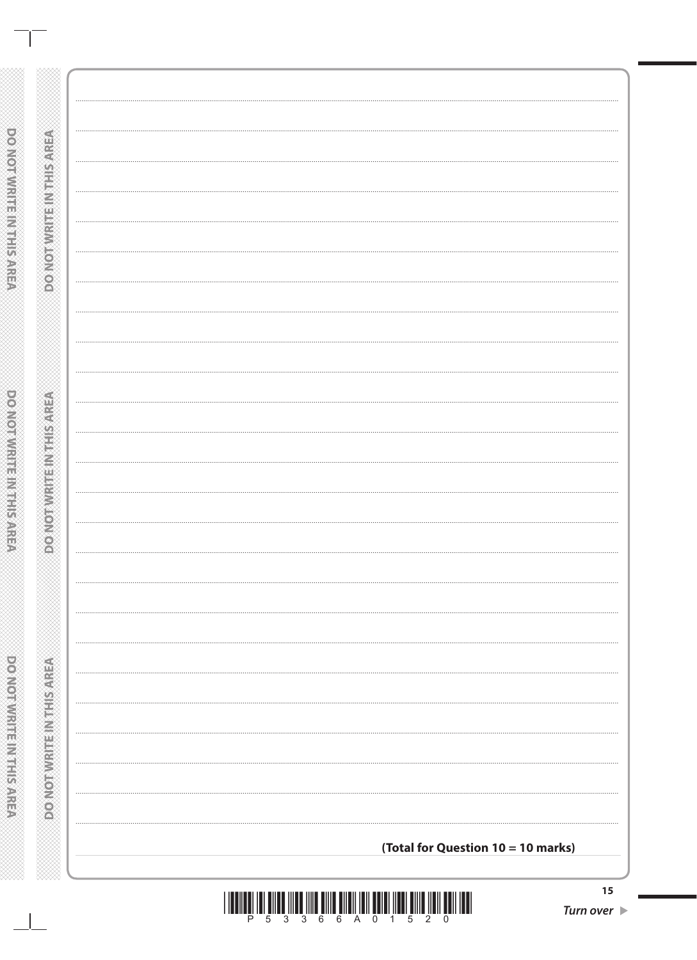| portone minimizing the state      | THISAREA<br>Ž<br><b>CONSTRUCT</b>     |                                            |
|-----------------------------------|---------------------------------------|--------------------------------------------|
| <b>PONTONIA PRINTED AND STATE</b> | <b>100</b>                            |                                            |
| posto a marchine marches          | Filmed and<br>Z<br><b>DONOTNIRITE</b> | <br><br>(Total for Question 10 = 10 marks) |
|                                   |                                       |                                            |

 $\overline{\phantom{a}}$ 

 $\Box$ 

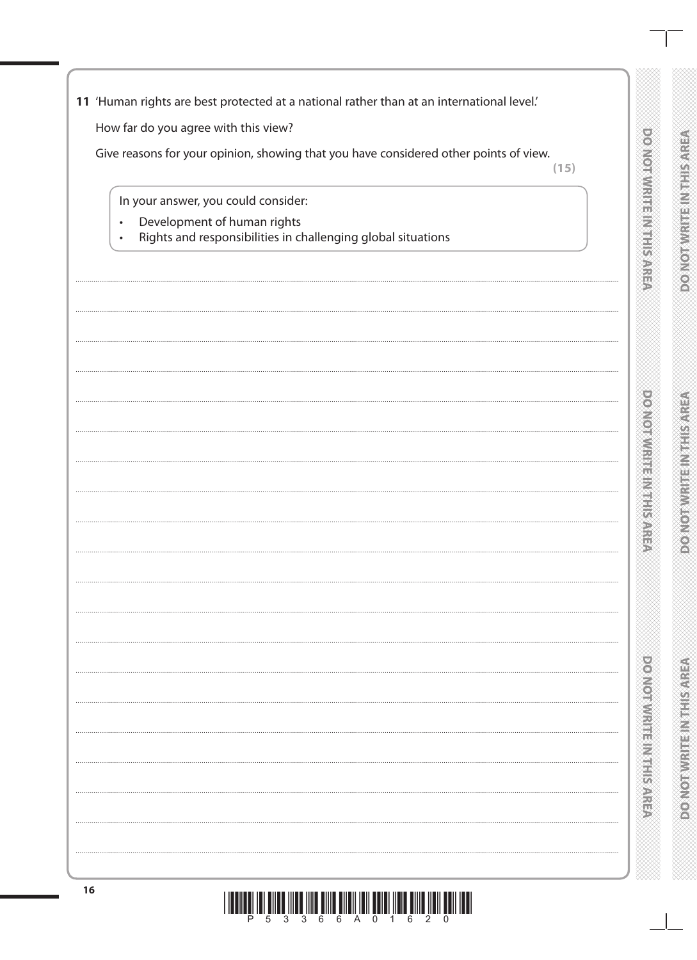| 11 'Human rights are best protected at a national rather than at an international level.' |  |
|-------------------------------------------------------------------------------------------|--|
|-------------------------------------------------------------------------------------------|--|

How far do you agree with this view?

Give reasons for your opinion, showing that you have considered other points of view.

 $(15)$ 

**DOMONTHE MANIFERS** 

**POSTORY CONTROL** 

**DOMORWATE INSTEAD:** 

**DONOINGERINGERY** 

In your answer, you could consider:

- Development of human rights  $\bullet$
- Rights and responsibilities in challenging global situations  $\ddot{\phantom{0}}$

|        |        | N  |   |    |   |  |   |
|--------|--------|----|---|----|---|--|---|
|        |        |    |   |    |   |  |   |
|        |        | š  |   |    |   |  |   |
|        | ï      |    |   |    |   |  |   |
|        | î      |    |   |    |   |  |   |
|        | Ì      |    | ł | ч  |   |  |   |
|        |        | h  |   |    |   |  |   |
|        | Ì      |    |   |    |   |  |   |
|        |        | í  |   |    |   |  |   |
|        |        | ¥  | ١ | ٠  |   |  |   |
|        |        |    |   |    |   |  |   |
|        |        |    |   |    |   |  |   |
|        |        |    |   |    |   |  |   |
|        |        |    |   |    |   |  |   |
|        |        |    |   |    |   |  |   |
|        |        |    |   |    |   |  | ì |
|        |        |    |   |    |   |  |   |
|        |        |    |   |    |   |  |   |
|        |        |    |   |    |   |  |   |
|        |        |    |   |    |   |  |   |
|        |        |    |   |    |   |  |   |
|        |        |    |   |    |   |  |   |
|        |        |    |   |    |   |  |   |
|        |        |    |   |    |   |  |   |
|        |        |    |   |    |   |  |   |
|        |        |    |   |    |   |  |   |
|        |        |    |   |    |   |  |   |
|        |        |    |   |    |   |  |   |
|        |        |    |   |    |   |  |   |
|        |        |    |   |    |   |  |   |
|        |        |    |   |    |   |  |   |
|        |        |    |   |    |   |  |   |
|        |        |    |   |    |   |  |   |
|        |        |    |   |    |   |  |   |
|        |        |    |   |    |   |  |   |
|        |        |    |   |    |   |  |   |
|        |        |    |   |    |   |  |   |
|        |        | Č  |   |    |   |  |   |
|        |        | ŕ  |   |    |   |  |   |
|        | 1      |    |   |    | ĺ |  |   |
|        |        | Ļ, |   |    |   |  |   |
|        |        | š  |   |    |   |  |   |
|        |        | é  |   |    |   |  |   |
|        |        |    |   |    |   |  |   |
|        | I      |    | ŕ |    |   |  |   |
|        |        |    | Ч |    |   |  |   |
|        |        | m  |   |    |   |  |   |
|        |        |    |   |    |   |  |   |
|        |        |    |   |    |   |  |   |
|        |        |    |   |    |   |  |   |
|        |        | â  |   |    |   |  |   |
|        |        |    |   |    |   |  |   |
|        |        | é  |   |    |   |  |   |
|        |        | €  |   |    |   |  |   |
|        |        | ú  |   |    |   |  |   |
|        |        | ۰  |   |    | è |  |   |
|        |        | H  |   |    |   |  |   |
|        |        |    |   |    |   |  |   |
|        |        | ň  |   |    |   |  |   |
|        |        |    |   |    |   |  |   |
|        | ¥      |    |   |    |   |  |   |
|        |        | ۵  |   |    | í |  |   |
|        |        | é  |   |    |   |  |   |
|        |        |    |   |    |   |  |   |
|        |        | ĭ. |   |    |   |  |   |
|        |        |    |   | J  |   |  |   |
|        |        | ₩  |   |    |   |  |   |
|        |        | ×  |   |    |   |  |   |
|        |        |    |   | ∸  |   |  |   |
|        |        |    |   |    |   |  |   |
|        |        | u  |   |    |   |  |   |
|        |        | ú  |   |    |   |  |   |
|        |        |    |   |    |   |  |   |
|        | i<br>¥ |    |   |    |   |  |   |
|        |        |    |   |    |   |  |   |
|        |        | €  |   | Ğ  |   |  |   |
|        |        |    |   | ξ  |   |  |   |
|        |        | ł, | ĵ |    |   |  |   |
| i<br>l |        |    | u | ×, |   |  |   |
|        |        | 2  |   |    |   |  |   |
|        |        |    |   |    |   |  |   |
|        |        |    |   |    |   |  |   |

**DOMOTWRITEINTHISMREA** 

#### I III III 5 3 3 6 6 A 0 1 6 2 0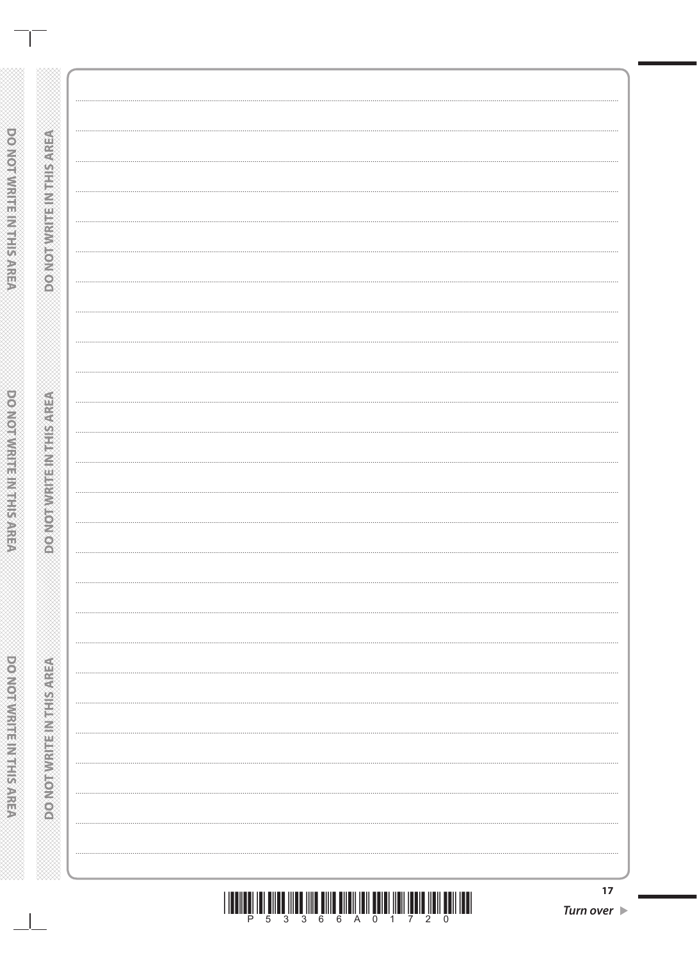| <b>DOMORAWRITE MARKERS</b>                          | <b>DOMINIAN PROVIDED</b> | <b>CONGRESSIONER MARKET</b>                      |
|-----------------------------------------------------|--------------------------|--------------------------------------------------|
| 岳<br>œ<br>⋖<br>U)<br>ШÌ.<br>$\frac{1}{2}$<br>O<br>Ø | G<br>H                   | ER<br>Calculation<br>Calculation<br><b>DOXIC</b> |
|                                                     |                          |                                                  |
|                                                     |                          |                                                  |
|                                                     |                          |                                                  |
|                                                     |                          |                                                  |
|                                                     |                          |                                                  |
|                                                     |                          |                                                  |
|                                                     |                          |                                                  |
|                                                     |                          |                                                  |
|                                                     |                          |                                                  |
|                                                     |                          |                                                  |
|                                                     |                          |                                                  |
|                                                     |                          |                                                  |

a ka

 $\Box$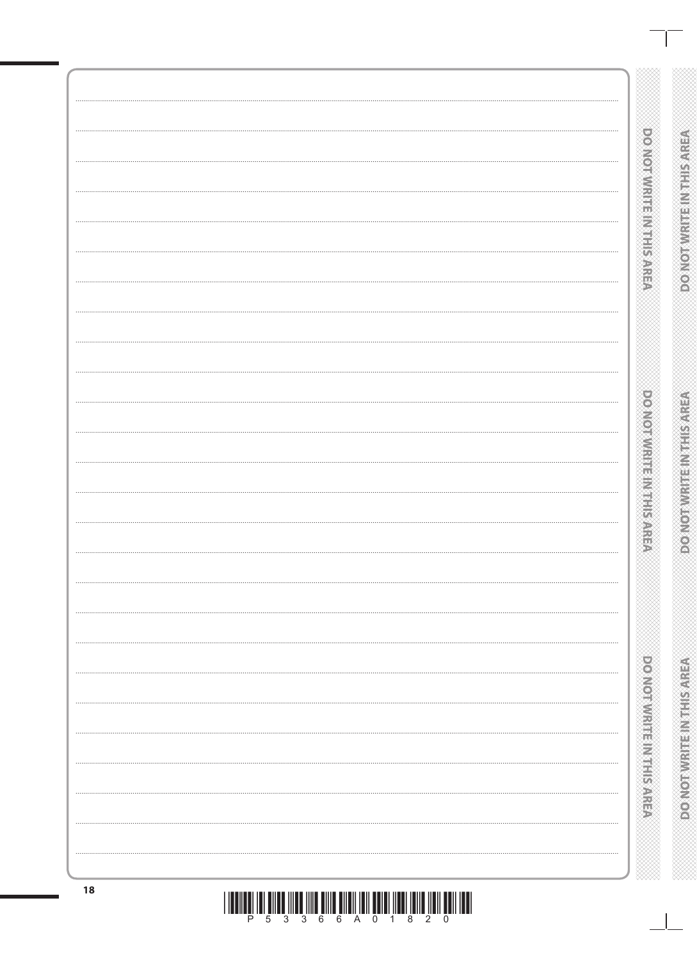|                                                                                              | <b>More than the first property</b> | <b>DONNOIN</b>            |
|----------------------------------------------------------------------------------------------|-------------------------------------|---------------------------|
|                                                                                              |                                     |                           |
|                                                                                              | <b>ESSECTIONS</b>                   | <b>DOMORAGE HEATHER</b>   |
|                                                                                              | <b>Downsign Harmonian</b>           | <b>PONOTHER HERRICANS</b> |
| I<br>IIII<br>Ш<br>P<br>5<br>3<br>3<br>8<br>$\mathbf 0$<br>6<br>6<br>$\overline{2}$<br>0<br>1 |                                     |                           |

 $\cdots$ 

..................................

..................................

.................................

.................................

 $\ddotsc$ 

 $\ddots$ 

 $\cdots$ 

 $\cdots$ 

 $\ddotsc$ 

 $\cdots$ 

 $\ddotsc$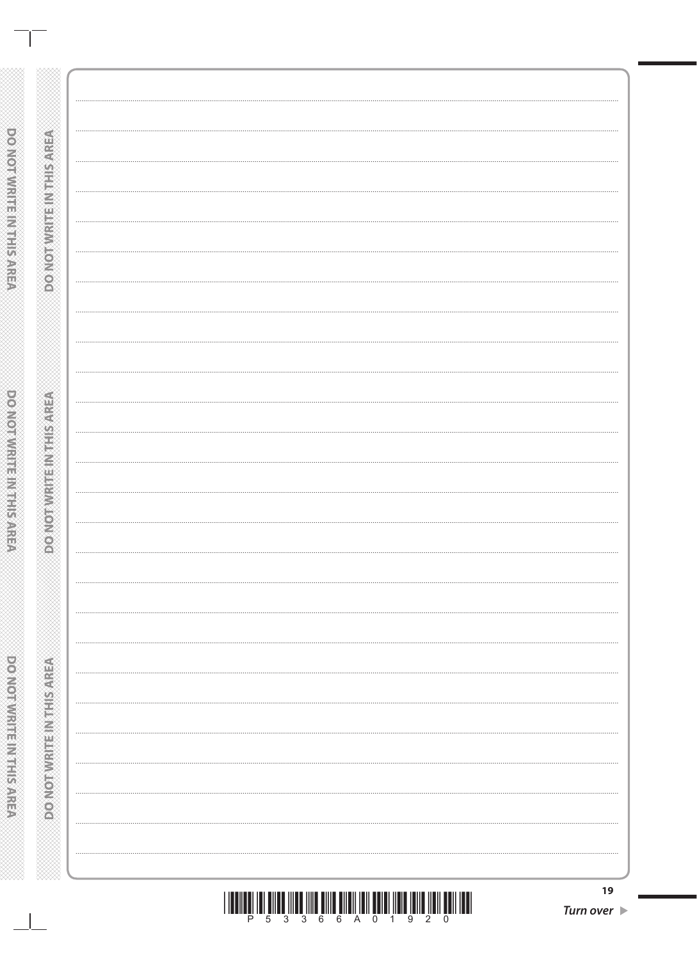a ka

 $\Box$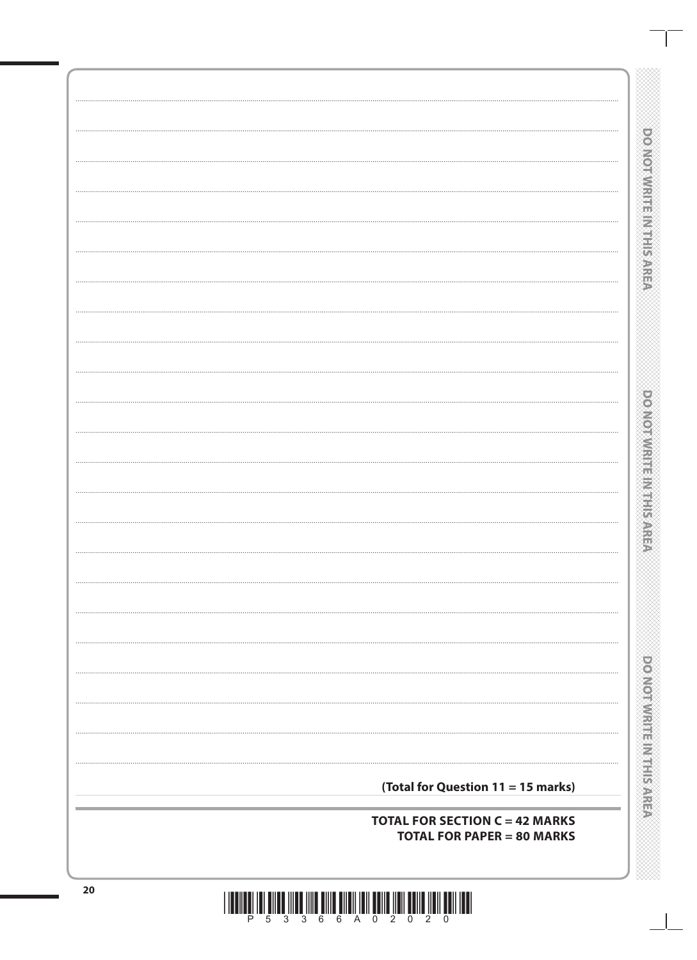(Total for Question 11 = 15 marks)

**TOTAL FOR SECTION C = 42 MARKS TOTAL FOR PAPER = 80 MARKS** 

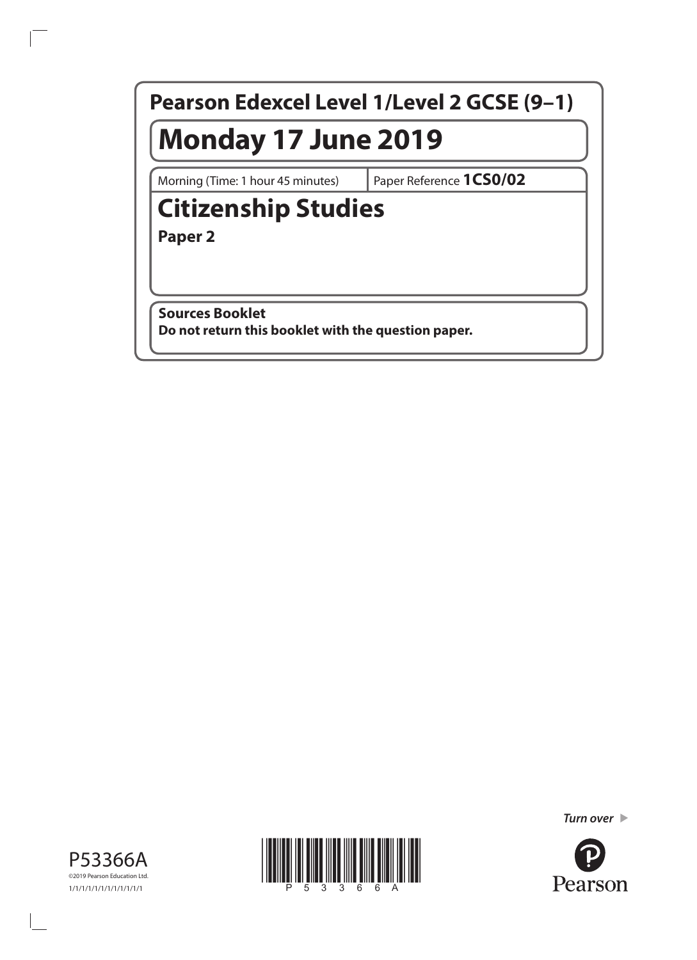







*Turn over*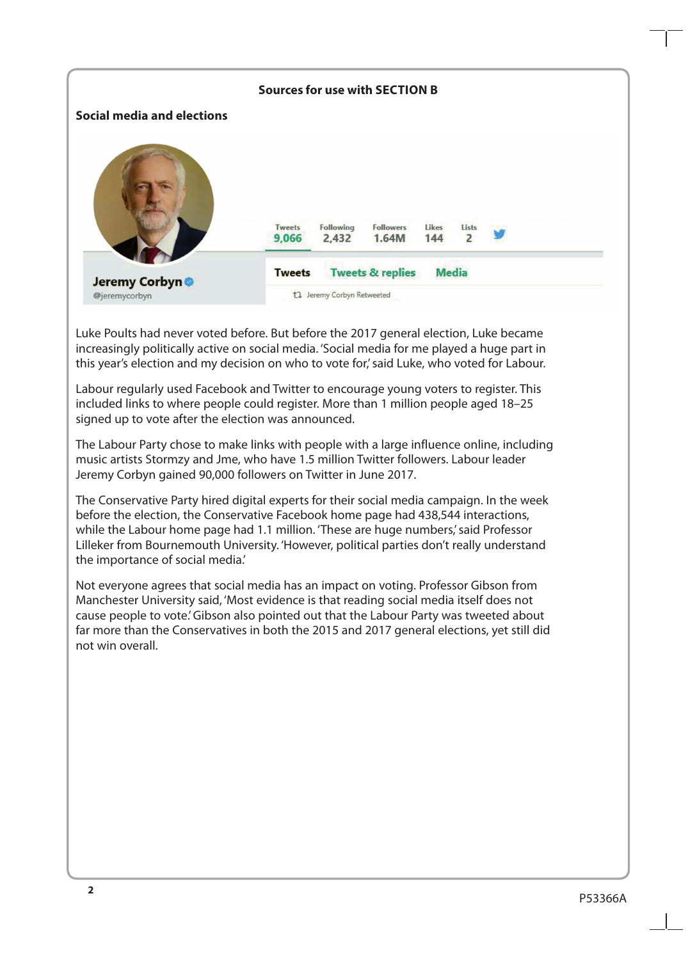

Luke Poults had never voted before. But before the 2017 general election, Luke became increasingly politically active on social media. 'Social media for me played a huge part in this year's election and my decision on who to vote for,' said Luke, who voted for Labour.

Labour regularly used Facebook and Twitter to encourage young voters to register. This included links to where people could register. More than 1 million people aged 18–25 signed up to vote after the election was announced.

The Labour Party chose to make links with people with a large influence online, including music artists Stormzy and Jme, who have 1.5 million Twitter followers. Labour leader Jeremy Corbyn gained 90,000 followers on Twitter in June 2017.

The Conservative Party hired digital experts for their social media campaign. In the week before the election, the Conservative Facebook home page had 438,544 interactions, while the Labour home page had 1.1 million. 'These are huge numbers' said Professor Lilleker from Bournemouth University. 'However, political parties don't really understand the importance of social media.'

Not everyone agrees that social media has an impact on voting. Professor Gibson from Manchester University said, 'Most evidence is that reading social media itself does not cause people to vote.' Gibson also pointed out that the Labour Party was tweeted about far more than the Conservatives in both the 2015 and 2017 general elections, yet still did not win overall.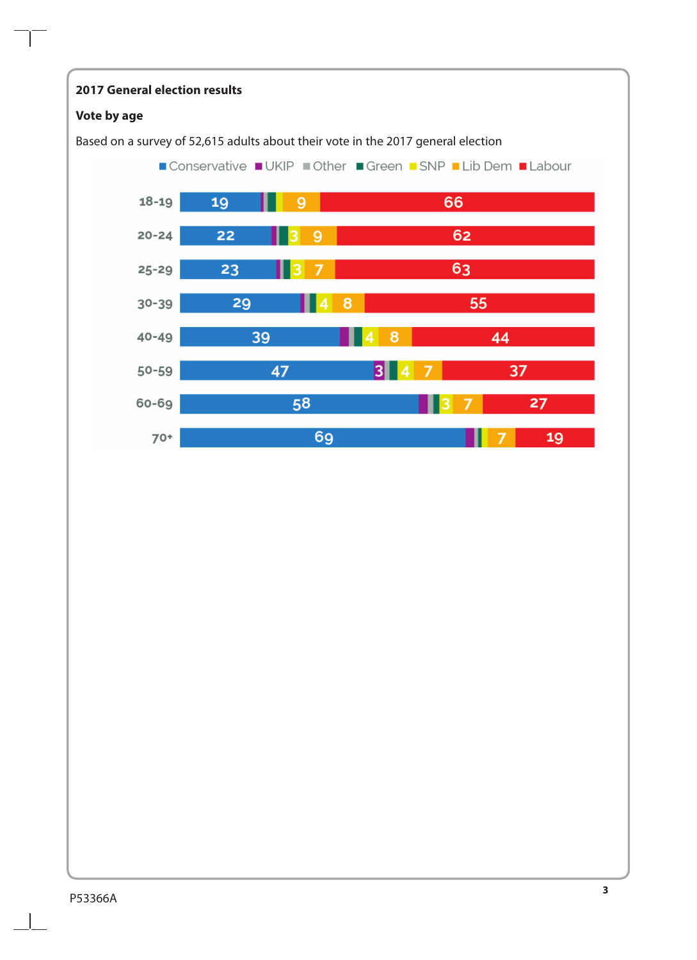